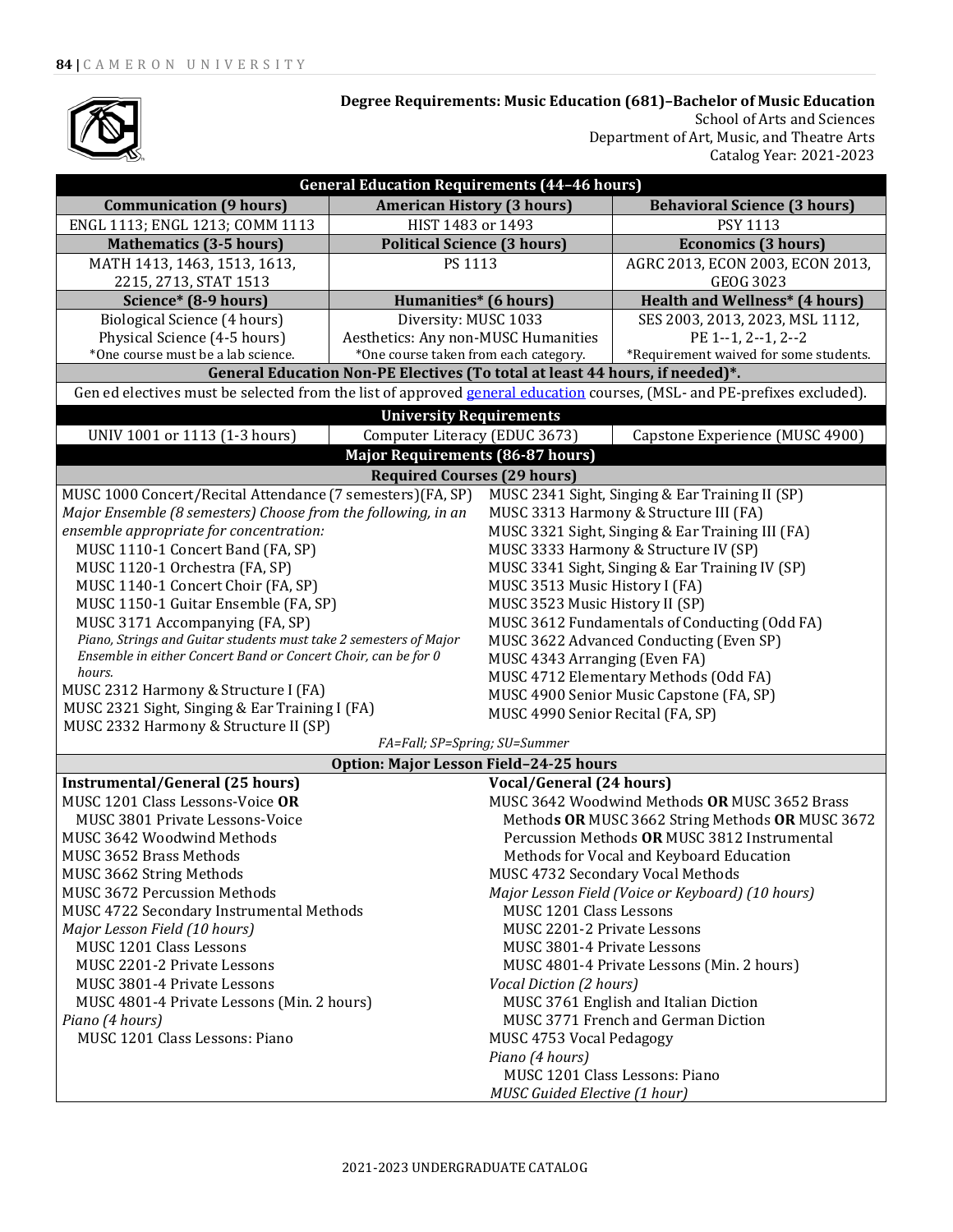

**Degree Requirements: Music Education (681)–Bachelor of Music Education** School of Arts and Sciences

Department of Art, Music, and Theatre Arts Catalog Year: 2021-2023

| <b>General Education Requirements (44-46 hours)</b>                                                                     |                                         |                                                   |                                                 |  |
|-------------------------------------------------------------------------------------------------------------------------|-----------------------------------------|---------------------------------------------------|-------------------------------------------------|--|
| <b>Communication (9 hours)</b>                                                                                          | <b>American History (3 hours)</b>       |                                                   | <b>Behavioral Science (3 hours)</b>             |  |
| ENGL 1113; ENGL 1213; COMM 1113                                                                                         | HIST 1483 or 1493                       |                                                   | <b>PSY 1113</b>                                 |  |
| <b>Mathematics (3-5 hours)</b>                                                                                          | <b>Political Science (3 hours)</b>      |                                                   | <b>Economics (3 hours)</b>                      |  |
| MATH 1413, 1463, 1513, 1613,                                                                                            | PS 1113                                 |                                                   | AGRC 2013, ECON 2003, ECON 2013,                |  |
| 2215, 2713, STAT 1513                                                                                                   |                                         |                                                   | <b>GEOG 3023</b>                                |  |
| Science* (8-9 hours)                                                                                                    | <b>Humanities*</b> (6 hours)            |                                                   | <b>Health and Wellness* (4 hours)</b>           |  |
| Biological Science (4 hours)                                                                                            | Diversity: MUSC 1033                    |                                                   | SES 2003, 2013, 2023, MSL 1112,                 |  |
| Physical Science (4-5 hours)                                                                                            | Aesthetics: Any non-MUSC Humanities     |                                                   | PE 1--1, 2--1, 2--2                             |  |
| *One course must be a lab science.                                                                                      | *One course taken from each category.   |                                                   | *Requirement waived for some students.          |  |
| General Education Non-PE Electives (To total at least 44 hours, if needed)*.                                            |                                         |                                                   |                                                 |  |
| Gen ed electives must be selected from the list of approved general education courses, (MSL- and PE-prefixes excluded). |                                         |                                                   |                                                 |  |
|                                                                                                                         | <b>University Requirements</b>          |                                                   |                                                 |  |
| UNIV 1001 or 1113 (1-3 hours)                                                                                           | Computer Literacy (EDUC 3673)           |                                                   | Capstone Experience (MUSC 4900)                 |  |
|                                                                                                                         | <b>Major Requirements (86-87 hours)</b> |                                                   |                                                 |  |
| <b>Required Courses (29 hours)</b>                                                                                      |                                         |                                                   |                                                 |  |
| MUSC 1000 Concert/Recital Attendance (7 semesters) (FA, SP)                                                             |                                         |                                                   | MUSC 2341 Sight, Singing & Ear Training II (SP) |  |
| Major Ensemble (8 semesters) Choose from the following, in an                                                           |                                         | MUSC 3313 Harmony & Structure III (FA)            |                                                 |  |
| ensemble appropriate for concentration:                                                                                 |                                         | MUSC 3321 Sight, Singing & Ear Training III (FA)  |                                                 |  |
| MUSC 1110-1 Concert Band (FA, SP)                                                                                       |                                         | MUSC 3333 Harmony & Structure IV (SP)             |                                                 |  |
| MUSC 1120-1 Orchestra (FA, SP)                                                                                          |                                         | MUSC 3341 Sight, Singing & Ear Training IV (SP)   |                                                 |  |
| MUSC 1140-1 Concert Choir (FA, SP)                                                                                      |                                         | MUSC 3513 Music History I (FA)                    |                                                 |  |
| MUSC 1150-1 Guitar Ensemble (FA, SP)                                                                                    |                                         | MUSC 3523 Music History II (SP)                   |                                                 |  |
| MUSC 3171 Accompanying (FA, SP)                                                                                         |                                         | MUSC 3612 Fundamentals of Conducting (Odd FA)     |                                                 |  |
| Piano, Strings and Guitar students must take 2 semesters of Major                                                       |                                         | MUSC 3622 Advanced Conducting (Even SP)           |                                                 |  |
| Ensemble in either Concert Band or Concert Choir, can be for 0<br>hours.                                                |                                         | MUSC 4343 Arranging (Even FA)                     |                                                 |  |
| MUSC 2312 Harmony & Structure I (FA)                                                                                    |                                         |                                                   | MUSC 4712 Elementary Methods (Odd FA)           |  |
| MUSC 2321 Sight, Singing & Ear Training I (FA)                                                                          |                                         | MUSC 4900 Senior Music Capstone (FA, SP)          |                                                 |  |
| MUSC 4990 Senior Recital (FA, SP)<br>MUSC 2332 Harmony & Structure II (SP)                                              |                                         |                                                   |                                                 |  |
| FA=Fall; SP=Spring; SU=Summer                                                                                           |                                         |                                                   |                                                 |  |
| Option: Major Lesson Field-24-25 hours                                                                                  |                                         |                                                   |                                                 |  |
| <b>Instrumental/General (25 hours)</b><br><b>Vocal/General (24 hours)</b>                                               |                                         |                                                   |                                                 |  |
| MUSC 1201 Class Lessons-Voice OR                                                                                        |                                         | MUSC 3642 Woodwind Methods OR MUSC 3652 Brass     |                                                 |  |
| MUSC 3801 Private Lessons-Voice                                                                                         |                                         | Methods OR MUSC 3662 String Methods OR MUSC 3672  |                                                 |  |
| MUSC 3642 Woodwind Methods                                                                                              |                                         | Percussion Methods OR MUSC 3812 Instrumental      |                                                 |  |
| MUSC 3652 Brass Methods                                                                                                 |                                         | Methods for Vocal and Keyboard Education          |                                                 |  |
| MUSC 3662 String Methods                                                                                                |                                         | MUSC 4732 Secondary Vocal Methods                 |                                                 |  |
| MUSC 3672 Percussion Methods                                                                                            |                                         | Major Lesson Field (Voice or Keyboard) (10 hours) |                                                 |  |
| MUSC 4722 Secondary Instrumental Methods                                                                                |                                         | MUSC 1201 Class Lessons                           |                                                 |  |
| Major Lesson Field (10 hours)                                                                                           |                                         | MUSC 2201-2 Private Lessons                       |                                                 |  |
| MUSC 1201 Class Lessons                                                                                                 |                                         | MUSC 3801-4 Private Lessons                       |                                                 |  |
| MUSC 2201-2 Private Lessons                                                                                             |                                         | MUSC 4801-4 Private Lessons (Min. 2 hours)        |                                                 |  |
| MUSC 3801-4 Private Lessons                                                                                             |                                         | Vocal Diction (2 hours)                           |                                                 |  |
| MUSC 4801-4 Private Lessons (Min. 2 hours)                                                                              |                                         | MUSC 3761 English and Italian Diction             |                                                 |  |
| Piano (4 hours)                                                                                                         |                                         | MUSC 3771 French and German Diction               |                                                 |  |
| MUSC 1201 Class Lessons: Piano                                                                                          |                                         | MUSC 4753 Vocal Pedagogy                          |                                                 |  |
|                                                                                                                         |                                         | Piano (4 hours)<br>MUSC 1201 Class Lessons: Piano |                                                 |  |
|                                                                                                                         |                                         |                                                   |                                                 |  |
|                                                                                                                         |                                         | MUSC Guided Elective (1 hour)                     |                                                 |  |